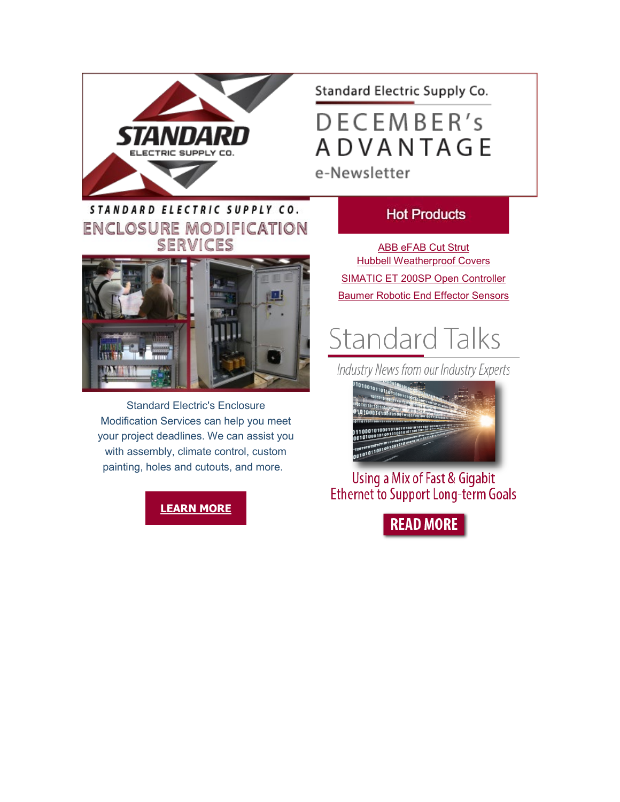

## Standard Electric Supply Co.

DECEMBER's **ADVANTAGE** 

e-Newsletter

## STANDARD ELECTRIC SUPPLY CO. **ENCLOSURE MODIFICATION** SERVICES



Standard Electric's Enclosure Modification Services can help you meet your project deadlines. We can assist you with assembly, climate control, custom painting, holes and cutouts, and more.

**[LEARN MORE](https://info.standardelectricsupply.com/e2t/c/*W87pdsv2YgM26W9dp5CL5Xq45W0/*W5K43Xm2sM7KYW8NPX5T1RFNyg0/5/f18dQhb0SnGW9jX8VKW6tb-cy1q23c5VWw8ZG6BlznqN1Vq7GqLDpF1W8CSvhf8BSnygW8r4pgz62RP8dW1q7FBQ1p8BjPVNcZLR1nPLDMW67h1zr8l2nZ-W63mXpx66h77LW1phdSz8rC9ZJW5y5jh-1rfXlzW1kRpb77YC-pqW1nP9VK64RtNjMZf7RPV8-G-W5rh8hm6gp845W8sZ4WS67b7w6W7hYCG43N1GR9W49z-4P2MV0XmV5w8jD1njMtBN6GFMdNYSMKVW3_8mpl9fgwMTW4fdjGb6XXN_GW2Snl3Y76xbfrW3q78W_7p8rSDW1CqLt157jn7tVnQXCB5pXtj6W1h28Xx76-SpkW6wPbTr5L9rNNW2s9Ht71CPsQbW7M0Y1V2tx5SDW5mJrrH1hYKWvW3pC10V1Bt-XgN8k1d6DJC4mCW7qQyKx7t8f0sW6ysvdR5ly8bzW567b187lbVQrW6w-c_q8Ph58-W5b46Q82HCpmrV3_KG45PgsVdW8j1wXd1wlbN3W5bVMrs43fxZJW8dCllh72m_MPW2RzSJd4FPglyW6y83MC7BTxn4MZpcmq9ZLdxdxqg5G11)**

#### **Hot Products**

[ABB eFAB Cut Strut](https://info.standardelectricsupply.com/e2t/c/*W87pdsv2YgM26W9dp5CL5Xq45W0/*W29r_qQ8s4rTqW2J76396wlh_M0/5/f18dQhb0S2C62WJLfhW12h76S2nkW80VplGP07WsgLCN5Hpkd9qPc-4V8xS-K1qF86bW5wV_2Z4kBSnYW83g2DH5dbljPW4qDwcd4YvJYlW4qnzZq8PNXcDW8BbpxG5TywqnW7CmGSp92TqbhVVjCwJ65C1_fW43W9Tb93MhBkVqRrJ06pMbq7VHHLL_6DJQYNW4NnlLd7HZcZDW3bvqBD5Gl8jjW2Gdtw585XD3sW4HPTC17jQyP6W4VCCvq1QPQ9zW1pnvkN6lWmxRN7Kk2hvlRY_nW1nxkpJ6hw5zGW2rlCCd9gr9X4W812QkP8yf7WMW9cNTWC2Fxq6GW69JTzZ39ClGnW5QJmQ31WSZPVW3c8pf13HP1B3W92KKnd7SGj3ZW4DZQT54gbzWvW3QD9PK7tRxGRN3Ylv_FHRpsdW2Phq6d20N_9hW2xMhtN1-SCgKW6KvhHs91DhjjW5cMnj73sJNlgVgl2H-7xlVxmW7z7-VT5vqRP1W8Gd3tZ1FW__gW3R0vkq7KCNWpW28GKwf6qytFRVzrFvD4l-NGdW1Qjk0g1Dfd3LW5mcbj755rKbvW7-sHnp30yQW4W5-YB5x1LtDCPW99bzZ_66mFXsW8pK2lv5QcCCDW8yFwjh4TGWTFW70PyTH5c1qD1W675Xmm8vB6HW111) [Hubbell Weatherproof Covers](https://info.standardelectricsupply.com/e2t/c/*W87pdsv2YgM26W9dp5CL5Xq45W0/*W50dlCy6MNM_QTWLHR3zkFnX0/5/f18dQhb0S1Wb73F0FpW12gKGc2nkPgqVR8RY92wf0-NW8KbSjM3jg71-W5__wM03_VQ10W7qXRbh81Y7VZW7Z1M_02H_81PW2-Nr1q8g8rqzW2ck6p45PJ72xW8wsZdq3RgVw2W85gTRr6ZQxQJW43LGNH4HwcvSW37F3QG91L81XW1g2hqJ3Vv_v2W3z0m9z1wvdJLW3F2RDb59hjLmW34D5yL5371wZVMVxPp3F9bNSN3k7zfrglhZ4W4JFz6-37ZW9xVHNJ3q4Zv0VvW5cbhbN8Qx814W3RlWdZ5Q1fqwW5qVC704LpssqW143vjp10zDKxN5Xpq1n6xmRyW8HzJ7j1Dp7yXW4Hmwmt59dpJhN14Hsy7mNkcKW4lwJz52_bcSrW6ndJk37p_XRJW8dsgWN7NTbN-W7HXt423JR0qJW8q6N6v8FzgFjW8sYZQF22tBY1W5ZjPD653qK6RVh7dtL4cHFW5W3xgZw110y8_7W43D2r07MbJMFW1QL5QJ4DsxhxW89KccS5GB6HQVQ8kZb5k5_sJW14z5Xm6SXMpZW2CXM1j56tShBW62DkxC3z4jpRW51CWg111tD3vW7vnNbT4Dz10bW7CkZVX6ZD7w6W4d64PG14JMhlW91gkzB8WZWqcW3Q48C518pC24W7t4dP35ycF7kf5XFY1F04) [SIMATIC ET 200SP Open Controller](https://info.standardelectricsupply.com/e2t/c/*W87pdsv2YgM26W9dp5CL5Xq45W0/*W4drP7g3cl0HGW2pRP708XkGwb0/5/f18dQhb0SfHp9dsQ5KN92F23YHbqG6W1yfnKS1PV2hcW7nV4hL1vkZ1yW2WtZsB7JXhCNW1ydqyN7GYQ8XW7FrpdV549JQgW1Dq0gs7vpFwQW13Vskz31MdD_W557YPh2KFPsRW4PZ8VQ2sGS3JN3q0XXlsHH4RVnmYtq2MznrNN5nbq6BGXpVfN3ZkcvvJp4WvW7K-1Zn9fRmM1V50Vdd8V0DfmN2yJF1WYT2jkW6P4lCX6hF8n1W69NG1w6Pr3nqW17W6L58sYvvlW5tGlT_7cvxVfN8q5qBxVQf4XW5vDhTY93N07GN96fvhTYw7nNN66YZLTLXLc5W1lbdXF5DGNTLW1rLPQK8sYJWGVQbtYb3NwWbLV_4wFS6LlrK5W5DGxZj4-9K7gW3PpQKX3Jvc-YW5BYzGc2x9WqMN6QgX3lcWkZgN6MtSRZYgvS4W3GlZX53fyyq7W1pqG8Q5qJytLW97z1r94PJsYrW3T03vy8csGDVVD2JF57hXFmCW5PYGHK5pdGCQW2YzdQK5y3q4RM5K2x7Mf1lVW5x5JhT35ylHBW8rTsg-7mt3V-W83gFBN8WZ4T1W6qtMjf2gMFNCW5FL_7L7Ks8WrW85BLK47RWsB6W3wPByY3wqskTf1MXj8L11) [Baumer Robotic End Effector Sensors](https://info.standardelectricsupply.com/e2t/c/*W87pdsv2YgM26W9dp5CL5Xq45W0/*W7MxxmV3kXPLBW5jCxxX5KLfCM0/5/f18dQhb0S3_-2p44bJW12Nnrm2nkPgjW4WckRW3QkZprN85L7Vyl5qQDW30nXtX1_p2zMW73z0FP5SymG5W6zYC_T50PgVbW50LNpM4CGmRZN3sX-XNCwThkVhDZ2P18pKgxW7MfSKT8Nr6f1W5NdY1X9d8MNPW25rLw-1z62MlN276ZrgHWb5_W1YmB828nRSkBW6dj2h8734hD_W5hwwX66HQS4qW1DQJD-1SNq2PVrzF0B4RP5j2N4Ntjb691_JFW4484mV4YdS_VVCHPVb5pkqFYVSwM7R6TjRkJW6QN4bY4W5RbMW5GpyCv1H980PW7H4kbX2P1jcvW164GsG4vxMz2W1x3DFk2QRVYbV_S8ls7bh803VNv6_q1Wy2wmN7L2WZGp8ds1W1SMtNq8yPnG7W2Xwy-X7-0PYZW9fXz1L67-kMRW8HFKC_6ltWRqW6sJcHS1kndc1W1KHDg64Tgy54W5S0-wz5Q4jkrW9hW4RT5f-JnzW3-Y6264QcRnBW2f6_PF1R5dDMW8dFr0w3MmhnrW6m7S0S6rxhlqW4XZj8Y2hsCB2V140cl7J0RrfW7_X8fr4HrThTW4Wpf4H96CYsRW4YFN112CMc2wW5B-p_P6h0GkGW6DZNPB6q0jDMW8rBgzQ3Q3VgKW2LNSvV7zXDJWW9f8tvz8pDv7JW6rfVKL3RD3XNW1lqPNf75pL7M111)

# **Standard Talks**

Industry News from our Industry Experts



Using a Mix of Fast & Gigabit **Ethernet to Support Long-term Goals** 

**READ MORE**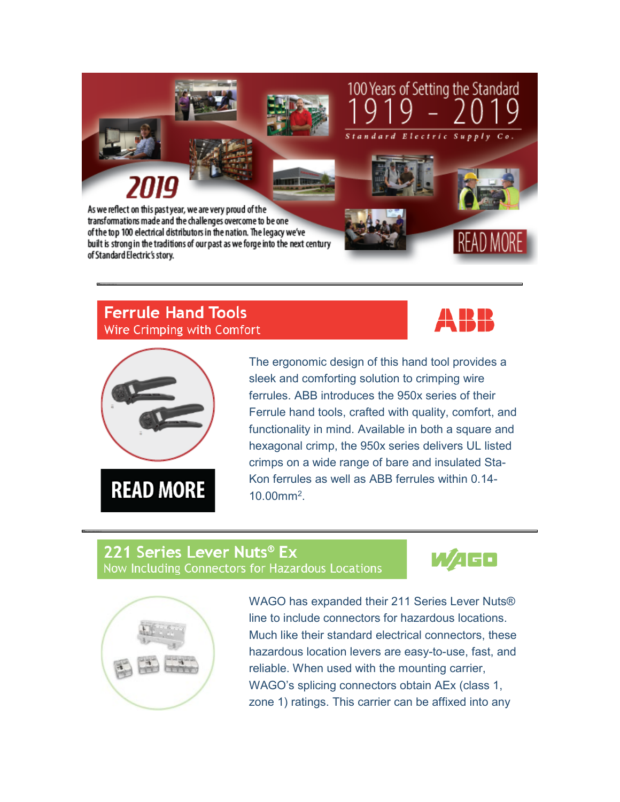

#### **Ferrule Hand Tools** Wire Crimping with Comfort





The ergonomic design of this hand tool provides a sleek and comforting solution to crimping wire ferrules. ABB introduces the 950x series of their Ferrule hand tools, crafted with quality, comfort, and functionality in mind. Available in both a square and hexagonal crimp, the 950x series delivers UL listed crimps on a wide range of bare and insulated Sta-Kon ferrules as well as ABB ferrules within 0.14- 10.00mm2.

#### 221 Series Lever Nuts® Ex Now Including Connectors for Hazardous Locations





WAGO has expanded their 211 Series Lever Nuts® line to include connectors for hazardous locations. Much like their standard electrical connectors, these hazardous location levers are easy-to-use, fast, and reliable. When used with the mounting carrier, WAGO's splicing connectors obtain AEx (class 1, zone 1) ratings. This carrier can be affixed into any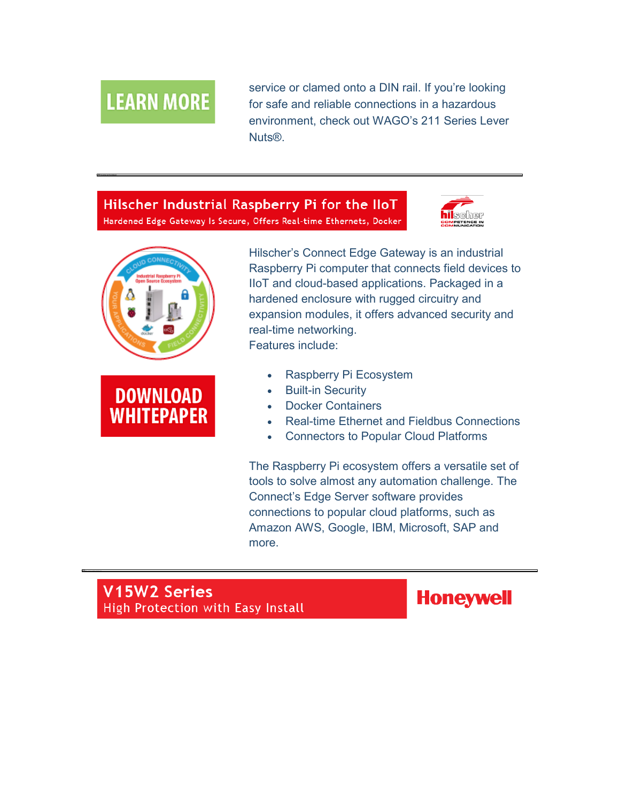# **LEARN MORE**

service or clamed onto a DIN rail. If you're looking for safe and reliable connections in a hazardous environment, check out WAGO's 211 Series Lever Nuts®.

#### Hilscher Industrial Raspberry Pi for the IloT Hardened Edge Gateway Is Secure, Offers Real-time Ethernets, Docker







Hilscher's Connect Edge Gateway is an industrial Raspberry Pi computer that connects field devices to IIoT and cloud-based applications. Packaged in a hardened enclosure with rugged circuitry and expansion modules, it offers advanced security and real-time networking. Features include:

- Raspberry Pi Ecosystem
- **Built-in Security**
- Docker Containers
- Real-time Ethernet and Fieldbus Connections
- Connectors to Popular Cloud Platforms

The Raspberry Pi ecosystem offers a versatile set of tools to solve almost any automation challenge. The Connect's Edge Server software provides connections to popular cloud platforms, such as Amazon AWS, Google, IBM, Microsoft, SAP and more.

## V15W2 Series High Protection with Easy Install

**Honeywell**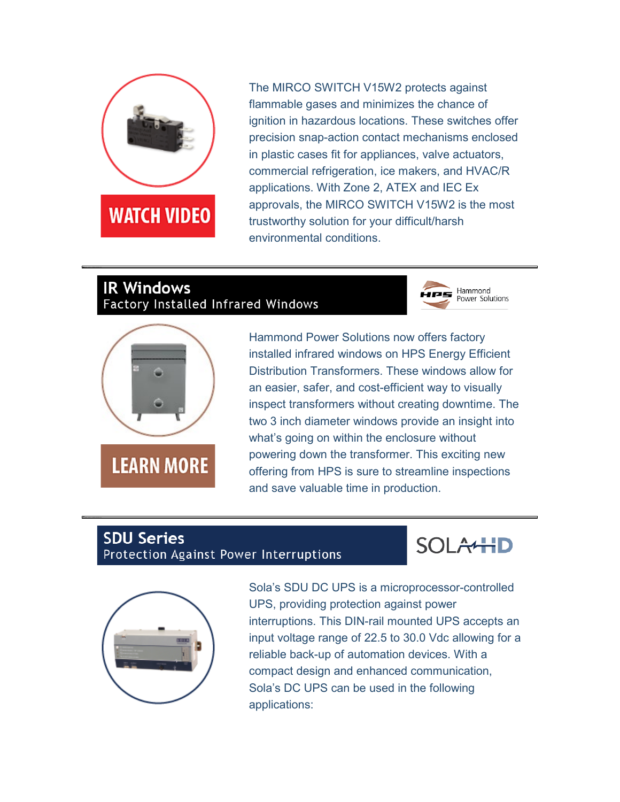

The MIRCO SWITCH V15W2 protects against flammable gases and minimizes the chance of ignition in hazardous locations. These switches offer precision snap-action contact mechanisms enclosed in plastic cases fit for appliances, valve actuators, commercial refrigeration, ice makers, and HVAC/R applications. With Zone 2, ATEX and IEC Ex approvals, the MIRCO SWITCH V15W2 is the most trustworthy solution for your difficult/harsh environmental conditions.

## **IR Windows** Factory Installed Infrared Windows





Hammond Power Solutions now offers factory installed infrared windows on HPS Energy Efficient Distribution Transformers. These windows allow for an easier, safer, and cost-efficient way to visually inspect transformers without creating downtime. The two 3 inch diameter windows provide an insight into what's going on within the enclosure without powering down the transformer. This exciting new offering from HPS is sure to streamline inspections and save valuable time in production.

#### **SDU Series** Protection Against Power Interruptions





Sola's SDU DC UPS is a microprocessor-controlled UPS, providing protection against power interruptions. This DIN-rail mounted UPS accepts an input voltage range of 22.5 to 30.0 Vdc allowing for a reliable back-up of automation devices. With a compact design and enhanced communication, Sola's DC UPS can be used in the following applications: